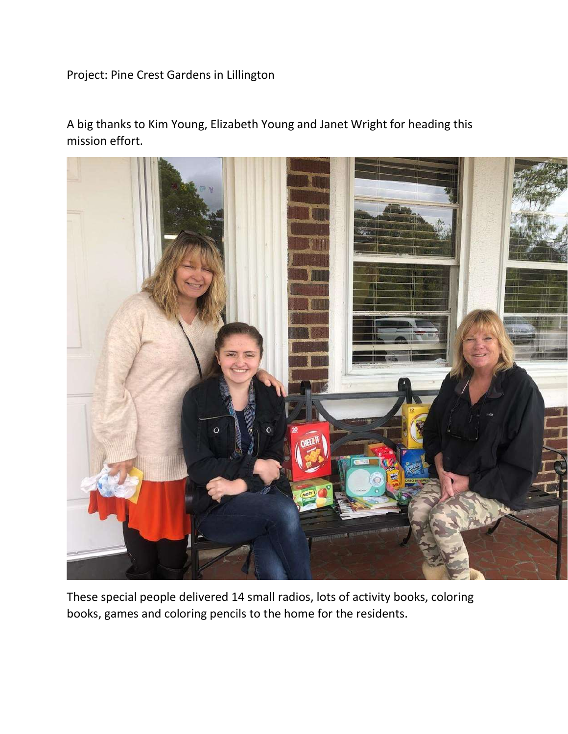Project: Pine Crest Gardens in Lillington

A big thanks to Kim Young, Elizabeth Young and Janet Wright for heading this mission effort.



These special people delivered 14 small radios, lots of activity books, coloring books, games and coloring pencils to the home for the residents.